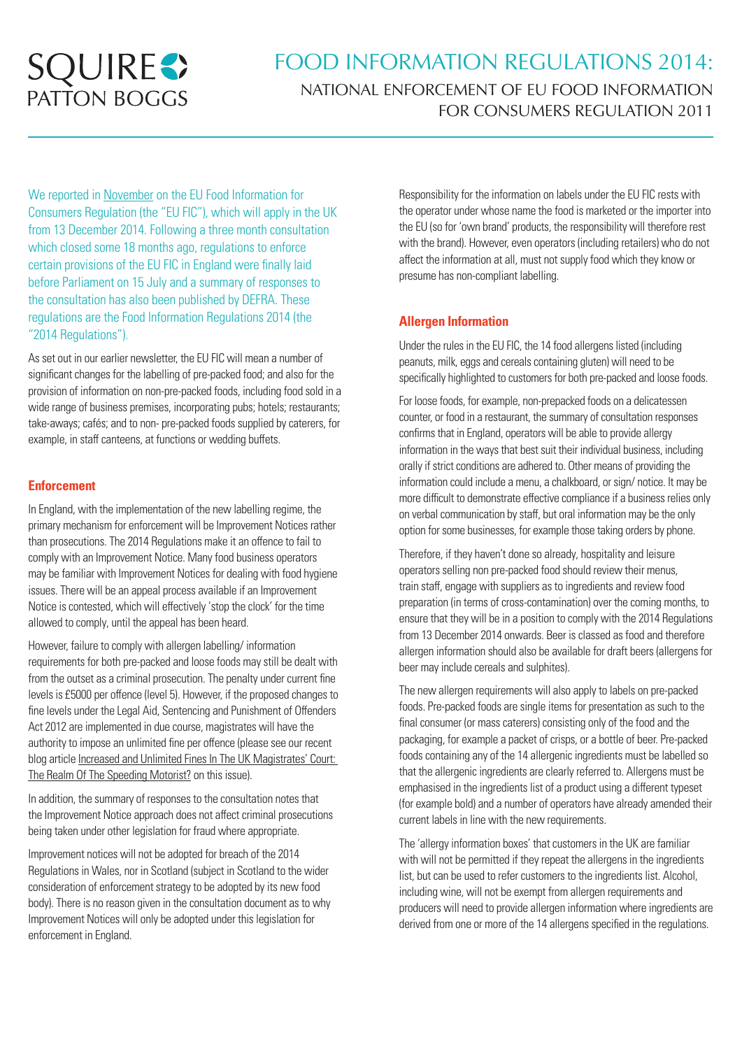

# FOOD INFORMATION REGULATIONS 2014: NATIONAL ENFORCEMENT OF EU FOOD INFORMATION FOR CONSUMERS REGULATION 2011

We reported in November on the EU Food Information for Consumers Regulation (the "EU FIC"), which will apply in the UK from 13 December 2014. Following a three month consultation which closed some 18 months ago, regulations to enforce certain provisions of the EU FIC in England were finally laid before Parliament on 15 July and a summary of responses to the consultation has also been published by DEFRA. These regulations are the Food Information Regulations 2014 (the "2014 Regulations").

As set out in our earlier newsletter, the EU FIC will mean a number of significant changes for the labelling of pre-packed food; and also for the provision of information on non-pre-packed foods, including food sold in a wide range of business premises, incorporating pubs; hotels; restaurants; take-aways; cafés; and to non- pre-packed foods supplied by caterers, for example, in staff canteens, at functions or wedding buffets.

# **Enforcement**

In England, with the implementation of the new labelling regime, the primary mechanism for enforcement will be Improvement Notices rather than prosecutions. The 2014 Regulations make it an offence to fail to comply with an Improvement Notice. Many food business operators may be familiar with Improvement Notices for dealing with food hygiene issues. There will be an appeal process available if an Improvement Notice is contested, which will effectively 'stop the clock' for the time allowed to comply, until the appeal has been heard.

However, failure to comply with allergen labelling/ information requirements for both pre-packed and loose foods may still be dealt with from the outset as a criminal prosecution. The penalty under current fine levels is £5000 per offence (level 5). However, if the proposed changes to fine levels under the Legal Aid, Sentencing and Punishment of Offenders Act 2012 are implemented in due course, magistrates will have the authority to impose an unlimited fine per offence (please see our recent blog article Increased and Unlimited Fines In The UK Magistrates' Court: The Realm Of The Speeding Motorist? on this issue).

In addition, the summary of responses to the consultation notes that the Improvement Notice approach does not affect criminal prosecutions being taken under other legislation for fraud where appropriate.

Improvement notices will not be adopted for breach of the 2014 Regulations in Wales, nor in Scotland (subject in Scotland to the wider consideration of enforcement strategy to be adopted by its new food body). There is no reason given in the consultation document as to why Improvement Notices will only be adopted under this legislation for enforcement in England.

Responsibility for the information on labels under the EU FIC rests with the operator under whose name the food is marketed or the importer into the EU (so for 'own brand' products, the responsibility will therefore rest with the brand). However, even operators (including retailers) who do not affect the information at all, must not supply food which they know or presume has non-compliant labelling.

# **Allergen Information**

Under the rules in the EU FIC, the 14 food allergens listed (including peanuts, milk, eggs and cereals containing gluten) will need to be specifically highlighted to customers for both pre-packed and loose foods.

For loose foods, for example, non-prepacked foods on a delicatessen counter, or food in a restaurant, the summary of consultation responses confirms that in England, operators will be able to provide allergy information in the ways that best suit their individual business, including orally if strict conditions are adhered to. Other means of providing the information could include a menu, a chalkboard, or sign/ notice. It may be more difficult to demonstrate effective compliance if a business relies only on verbal communication by staff, but oral information may be the only option for some businesses, for example those taking orders by phone.

Therefore, if they haven't done so already, hospitality and leisure operators selling non pre-packed food should review their menus, train staff, engage with suppliers as to ingredients and review food preparation (in terms of cross-contamination) over the coming months, to ensure that they will be in a position to comply with the 2014 Regulations from 13 December 2014 onwards. Beer is classed as food and therefore allergen information should also be available for draft beers (allergens for beer may include cereals and sulphites).

The new allergen requirements will also apply to labels on pre-packed foods. Pre-packed foods are single items for presentation as such to the final consumer (or mass caterers) consisting only of the food and the packaging, for example a packet of crisps, or a bottle of beer. Pre-packed foods containing any of the 14 allergenic ingredients must be labelled so that the allergenic ingredients are clearly referred to. Allergens must be emphasised in the ingredients list of a product using a different typeset (for example bold) and a number of operators have already amended their current labels in line with the new requirements.

The 'allergy information boxes' that customers in the UK are familiar with will not be permitted if they repeat the allergens in the ingredients list, but can be used to refer customers to the ingredients list. Alcohol, including wine, will not be exempt from allergen requirements and producers will need to provide allergen information where ingredients are derived from one or more of the 14 allergens specified in the regulations.